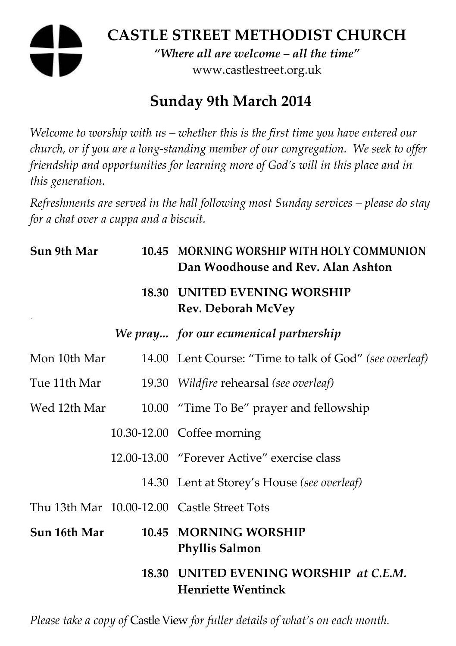# **CASTLE STREET METHODIST CHURCH**  *"Where all are welcome – all the time"*  www.castlestreet.org.uk

# **Sunday 9th March 2014**

*Welcome to worship with us – whether this is the first time you have entered our church, or if you are a long-standing member of our congregation. We seek to offer friendship and opportunities for learning more of God's will in this place and in this generation.* 

*Refreshments are served in the hall following most Sunday services – please do stay for a chat over a cuppa and a biscuit.* 

| Sun 9th Mar  | 10.45 MORNING WORSHIP WITH HOLY COMMUNION<br>Dan Woodhouse and Rev. Alan Ashton |
|--------------|---------------------------------------------------------------------------------|
|              | <b>18.30 UNITED EVENING WORSHIP</b><br><b>Rev. Deborah McVey</b>                |
|              | We pray for our ecumenical partnership                                          |
| Mon 10th Mar | 14.00 Lent Course: "Time to talk of God" (see overleaf)                         |
| Tue 11th Mar | 19.30 Wildfire rehearsal (see overleaf)                                         |
| Wed 12th Mar | 10.00 "Time To Be" prayer and fellowship                                        |
|              | 10.30-12.00 Coffee morning                                                      |
|              | 12.00-13.00 "Forever Active" exercise class                                     |
|              | 14.30 Lent at Storey's House (see overleaf)                                     |
|              | Thu 13th Mar 10.00-12.00 Castle Street Tots                                     |
| Sun 16th Mar | 10.45 MORNING WORSHIP<br><b>Phyllis Salmon</b>                                  |
|              | 18.30 UNITED EVENING WORSHIP at C.E.M.<br><b>Henriette Wentinck</b>             |

*Please take a copy of* Castle View *for fuller details of what's on each month.*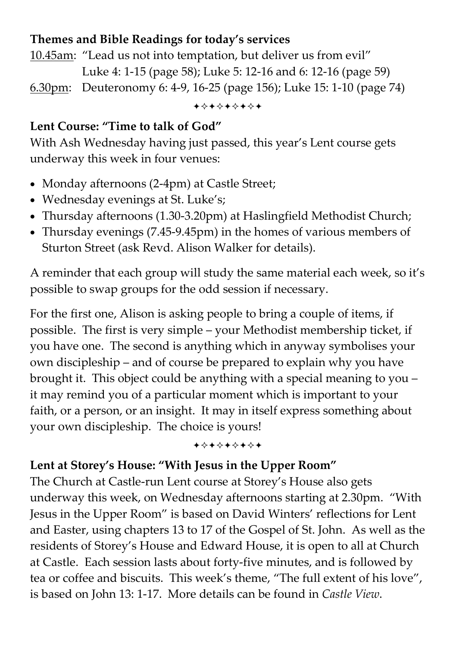#### **Themes and Bible Readings for today's services**

10.45am: "Lead us not into temptation, but deliver us from evil" Luke 4: 1-15 (page 58); Luke 5: 12-16 and 6: 12-16 (page 59) 6.30pm: Deuteronomy 6: 4-9, 16-25 (page 156); Luke 15: 1-10 (page 74)

+\*\*\*\*\*\*\*

#### **Lent Course: "Time to talk of God"**

With Ash Wednesday having just passed, this year's Lent course gets underway this week in four venues:

- Monday afternoons (2-4pm) at Castle Street;
- Wednesday evenings at St. Luke's;
- Thursday afternoons (1.30-3.20pm) at Haslingfield Methodist Church;
- Thursday evenings (7.45-9.45pm) in the homes of various members of Sturton Street (ask Revd. Alison Walker for details).

A reminder that each group will study the same material each week, so it's possible to swap groups for the odd session if necessary.

For the first one, Alison is asking people to bring a couple of items, if possible. The first is very simple – your Methodist membership ticket, if you have one. The second is anything which in anyway symbolises your own discipleship – and of course be prepared to explain why you have brought it. This object could be anything with a special meaning to you – it may remind you of a particular moment which is important to your faith, or a person, or an insight. It may in itself express something about your own discipleship. The choice is yours!

+\*\*\*\*\*\*\*

#### **Lent at Storey's House: "With Jesus in the Upper Room"**

The Church at Castle-run Lent course at Storey's House also gets underway this week, on Wednesday afternoons starting at 2.30pm. "With Jesus in the Upper Room" is based on David Winters' reflections for Lent and Easter, using chapters 13 to 17 of the Gospel of St. John. As well as the residents of Storey's House and Edward House, it is open to all at Church at Castle. Each session lasts about forty-five minutes, and is followed by tea or coffee and biscuits. This week's theme, "The full extent of his love", is based on John 13: 1-17. More details can be found in *Castle View*.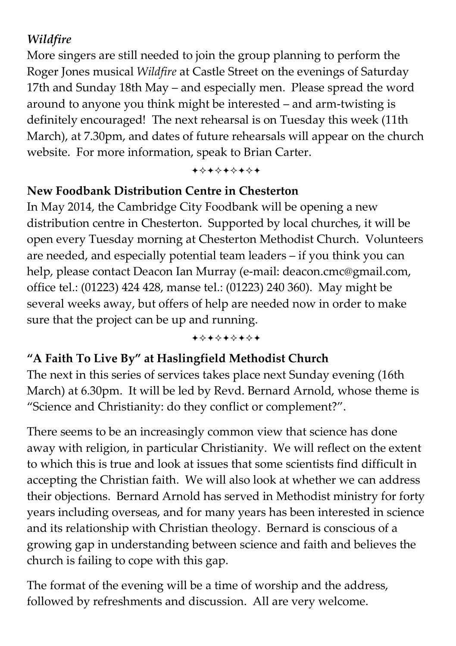### *Wildfire*

More singers are still needed to join the group planning to perform the Roger Jones musical *Wildfire* at Castle Street on the evenings of Saturday 17th and Sunday 18th May – and especially men. Please spread the word around to anyone you think might be interested – and arm-twisting is definitely encouraged! The next rehearsal is on Tuesday this week (11th March), at 7.30pm, and dates of future rehearsals will appear on the church website. For more information, speak to Brian Carter.

-----

#### **New Foodbank Distribution Centre in Chesterton**

In May 2014, the Cambridge City Foodbank will be opening a new distribution centre in Chesterton. Supported by local churches, it will be open every Tuesday morning at Chesterton Methodist Church. Volunteers are needed, and especially potential team leaders – if you think you can help, please contact Deacon Ian Murray (e-mail: deacon.cmc@gmail.com, office tel.: (01223) 424 428, manse tel.: (01223) 240 360). May might be several weeks away, but offers of help are needed now in order to make sure that the project can be up and running.

-----

## **"A Faith To Live By" at Haslingfield Methodist Church**

The next in this series of services takes place next Sunday evening (16th March) at 6.30pm. It will be led by Revd. Bernard Arnold, whose theme is "Science and Christianity: do they conflict or complement?".

There seems to be an increasingly common view that science has done away with religion, in particular Christianity. We will reflect on the extent to which this is true and look at issues that some scientists find difficult in accepting the Christian faith. We will also look at whether we can address their objections. Bernard Arnold has served in Methodist ministry for forty years including overseas, and for many years has been interested in science and its relationship with Christian theology. Bernard is conscious of a growing gap in understanding between science and faith and believes the church is failing to cope with this gap.

The format of the evening will be a time of worship and the address, followed by refreshments and discussion. All are very welcome.